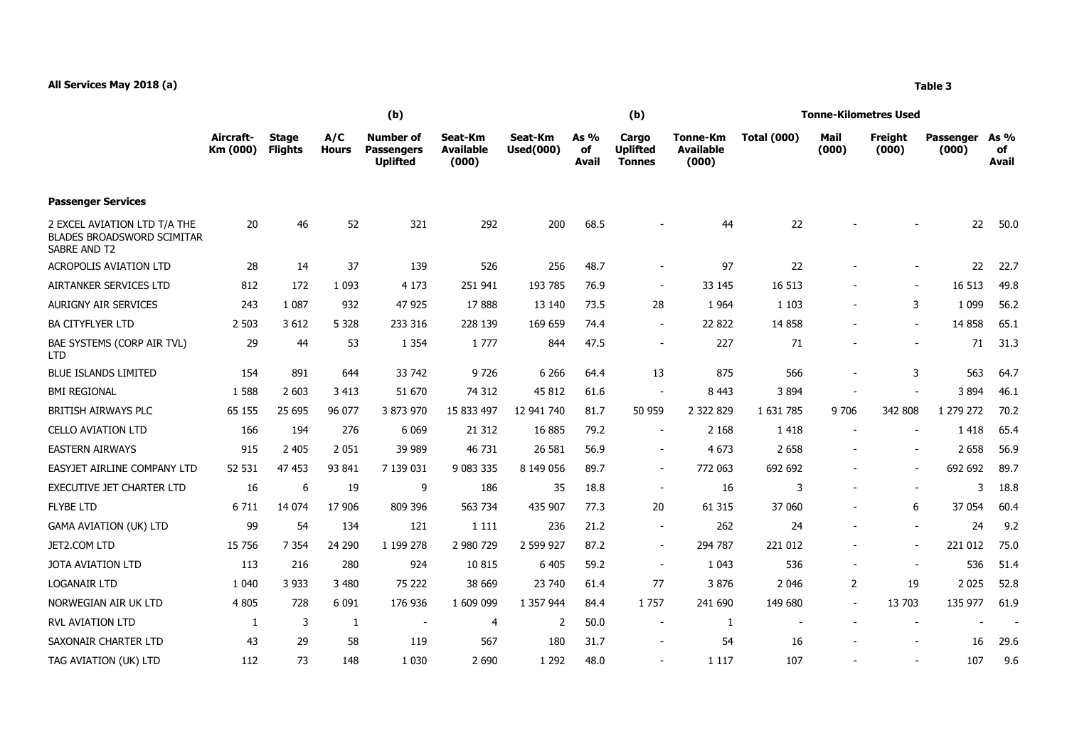|                                                                                          | (b)                   |                                |                     |                                                          |                                      |                             |                     | (b)                                       |                                              | Tonne-Kilometres Used |                          |                          |                           |                     |
|------------------------------------------------------------------------------------------|-----------------------|--------------------------------|---------------------|----------------------------------------------------------|--------------------------------------|-----------------------------|---------------------|-------------------------------------------|----------------------------------------------|-----------------------|--------------------------|--------------------------|---------------------------|---------------------|
|                                                                                          | Aircraft-<br>Km (000) | <b>Stage</b><br><b>Flights</b> | A/C<br><b>Hours</b> | <b>Number of</b><br><b>Passengers</b><br><b>Uplifted</b> | Seat-Km<br><b>Available</b><br>(000) | Seat-Km<br><b>Used(000)</b> | As %<br>of<br>Avail | Cargo<br><b>Uplifted</b><br><b>Tonnes</b> | <b>Tonne-Km</b><br><b>Available</b><br>(000) | <b>Total (000)</b>    | Mail<br>(000)            | Freight<br>(000)         | <b>Passenger</b><br>(000) | As %<br>of<br>Avail |
| <b>Passenger Services</b>                                                                |                       |                                |                     |                                                          |                                      |                             |                     |                                           |                                              |                       |                          |                          |                           |                     |
| 2 EXCEL AVIATION LTD T/A THE<br><b>BLADES BROADSWORD SCIMITAR</b><br><b>SABRE AND T2</b> | 20                    | 46                             | 52                  | 321                                                      | 292                                  | 200                         | 68.5                |                                           | 44                                           | 22                    |                          |                          | 22                        | 50.0                |
| <b>ACROPOLIS AVIATION LTD</b>                                                            | 28                    | 14                             | 37                  | 139                                                      | 526                                  | 256                         | 48.7                | $\overline{\phantom{a}}$                  | 97                                           | 22                    |                          |                          | 22                        | 22.7                |
| AIRTANKER SERVICES LTD                                                                   | 812                   | 172                            | 1 0 9 3             | 4 1 7 3                                                  | 251 941                              | 193 785                     | 76.9                | $\overline{\phantom{a}}$                  | 33 145                                       | 16 513                |                          | $\overline{\phantom{a}}$ | 16 513                    | 49.8                |
| <b>AURIGNY AIR SERVICES</b>                                                              | 243                   | 1 0 8 7                        | 932                 | 47 925                                                   | 17888                                | 13 140                      | 73.5                | 28                                        | 1 9 6 4                                      | 1 1 0 3               | $\overline{\phantom{a}}$ | 3                        | 1 0 9 9                   | 56.2                |
| <b>BA CITYFLYER LTD</b>                                                                  | 2 5 0 3               | 3 6 1 2                        | 5 3 2 8             | 233 316                                                  | 228 139                              | 169 659                     | 74.4                | $\overline{\phantom{a}}$                  | 22 822                                       | 14 8 58               |                          | $\sim$                   | 14 8 58                   | 65.1                |
| BAE SYSTEMS (CORP AIR TVL)<br><b>LTD</b>                                                 | 29                    | 44                             | 53                  | 1 3 5 4                                                  | 1777                                 | 844                         | 47.5                | $\blacksquare$                            | 227                                          | 71                    |                          |                          | 71                        | 31.3                |
| <b>BLUE ISLANDS LIMITED</b>                                                              | 154                   | 891                            | 644                 | 33 742                                                   | 9726                                 | 6 2 6 6                     | 64.4                | 13                                        | 875                                          | 566                   |                          | 3                        | 563                       | 64.7                |
| <b>BMI REGIONAL</b>                                                                      | 1 5 8 8               | 2 603                          | 3 4 1 3             | 51 670                                                   | 74 312                               | 45 812                      | 61.6                | $\overline{\phantom{a}}$                  | 8 4 4 3                                      | 3894                  |                          |                          | 3894                      | 46.1                |
| BRITISH AIRWAYS PLC                                                                      | 65 155                | 25 6 95                        | 96 077              | 3 873 970                                                | 15 833 497                           | 12 941 740                  | 81.7                | 50 959                                    | 2 3 2 8 2 9                                  | 1 631 785             | 9 7 0 6                  | 342 808                  | 1 279 272                 | 70.2                |
| <b>CELLO AVIATION LTD</b>                                                                | 166                   | 194                            | 276                 | 6 0 6 9                                                  | 21 3 12                              | 16 885                      | 79.2                | $\overline{\phantom{a}}$                  | 2 1 6 8                                      | 1 4 1 8               | $\blacksquare$           |                          | 1418                      | 65.4                |
| <b>EASTERN AIRWAYS</b>                                                                   | 915                   | 2 4 0 5                        | 2 0 5 1             | 39 989                                                   | 46 731                               | 26 581                      | 56.9                | $\overline{\phantom{a}}$                  | 4 6 7 3                                      | 2 6 5 8               |                          | $\overline{\phantom{a}}$ | 2 6 5 8                   | 56.9                |
| EASYJET AIRLINE COMPANY LTD                                                              | 52 531                | 47 453                         | 93 841              | 7 139 031                                                | 9 083 335                            | 8 149 056                   | 89.7                | $\blacksquare$                            | 772 063                                      | 692 692               | $\overline{\phantom{a}}$ | $\overline{\phantom{a}}$ | 692 692                   | 89.7                |
| <b>EXECUTIVE JET CHARTER LTD</b>                                                         | 16                    | 6                              | 19                  | 9                                                        | 186                                  | 35                          | 18.8                | $\overline{\phantom{a}}$                  | 16                                           | 3                     | $\overline{\phantom{a}}$ | $\sim$                   |                           | 3<br>18.8           |
| <b>FLYBE LTD</b>                                                                         | 6 7 1 1               | 14 0 74                        | 17 906              | 809 396                                                  | 563 734                              | 435 907                     | 77.3                | 20                                        | 61 315                                       | 37 060                |                          | 6                        | 37 054                    | 60.4                |
| GAMA AVIATION (UK) LTD                                                                   | 99                    | 54                             | 134                 | 121                                                      | 1 1 1 1                              | 236                         | 21.2                | $\sim$                                    | 262                                          | 24                    | $\overline{\phantom{a}}$ | $\overline{\phantom{a}}$ | 24                        | 9.2                 |
| JET2.COM LTD                                                                             | 15 7 56               | 7 3 5 4                        | 24 290              | 1 199 278                                                | 2 980 729                            | 2 599 927                   | 87.2                | $\overline{\phantom{a}}$                  | 294 787                                      | 221 012               |                          |                          | 221 012                   | 75.0                |
| JOTA AVIATION LTD                                                                        | 113                   | 216                            | 280                 | 924                                                      | 10 8 15                              | 6 4 0 5                     | 59.2                | $\overline{\phantom{a}}$                  | 1 0 4 3                                      | 536                   | $\overline{\phantom{a}}$ | $\blacksquare$           | 536                       | 51.4                |
| <b>LOGANAIR LTD</b>                                                                      | 1 0 4 0               | 3 9 3 3                        | 3 4 8 0             | 75 222                                                   | 38 669                               | 23 740                      | 61.4                | 77                                        | 3876                                         | 2 0 4 6               | 2                        | 19                       | 2 0 2 5                   | 52.8                |
| NORWEGIAN AIR UK LTD                                                                     | 4 8 0 5               | 728                            | 6 0 9 1             | 176 936                                                  | 1 609 099                            | 1 357 944                   | 84.4                | 1757                                      | 241 690                                      | 149 680               | $\blacksquare$           | 13 703                   | 135 977                   | 61.9                |
| <b>RVL AVIATION LTD</b>                                                                  | 1                     | 3                              | -1                  | $\overline{\phantom{a}}$                                 | 4                                    | 2                           | 50.0                | $\overline{\phantom{a}}$                  | 1                                            |                       | $\overline{\phantom{a}}$ | $\overline{\phantom{a}}$ |                           |                     |
| SAXONAIR CHARTER LTD                                                                     | 43                    | 29                             | 58                  | 119                                                      | 567                                  | 180                         | 31.7                | $\blacksquare$                            | 54                                           | 16                    |                          |                          | 16                        | 29.6                |
| TAG AVIATION (UK) LTD                                                                    | 112                   | 73                             | 148                 | 1 0 3 0                                                  | 2 6 9 0                              | 1 2 9 2                     | 48.0                |                                           | 1 1 1 7                                      | 107                   |                          |                          | 107                       | 9.6                 |